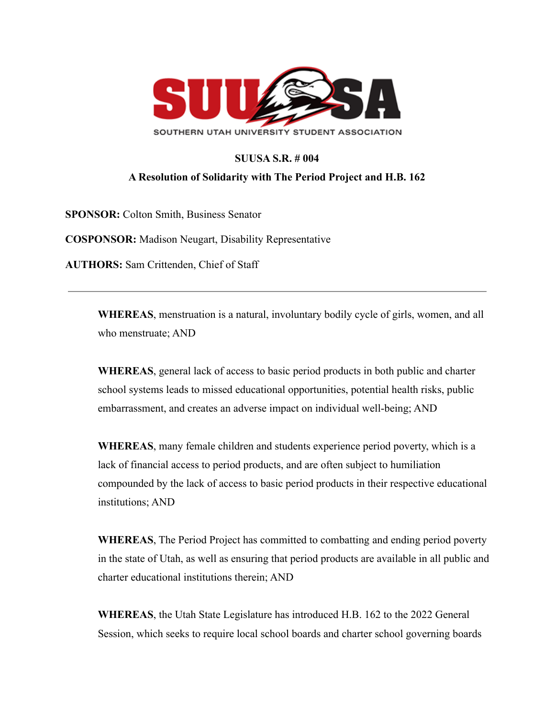

## **SUUSA S.R. # 004**

## **A Resolution of Solidarity with The Period Project and H.B. 162**

**SPONSOR:** Colton Smith, Business Senator

**COSPONSOR:** Madison Neugart, Disability Representative

**AUTHORS:** Sam Crittenden, Chief of Staff

**WHEREAS**, menstruation is a natural, involuntary bodily cycle of girls, women, and all who menstruate; AND

**WHEREAS**, general lack of access to basic period products in both public and charter school systems leads to missed educational opportunities, potential health risks, public embarrassment, and creates an adverse impact on individual well-being; AND

**WHEREAS**, many female children and students experience period poverty, which is a lack of financial access to period products, and are often subject to humiliation compounded by the lack of access to basic period products in their respective educational institutions; AND

**WHEREAS**, The Period Project has committed to combatting and ending period poverty in the state of Utah, as well as ensuring that period products are available in all public and charter educational institutions therein; AND

**WHEREAS**, the Utah State Legislature has introduced H.B. 162 to the 2022 General Session, which seeks to require local school boards and charter school governing boards